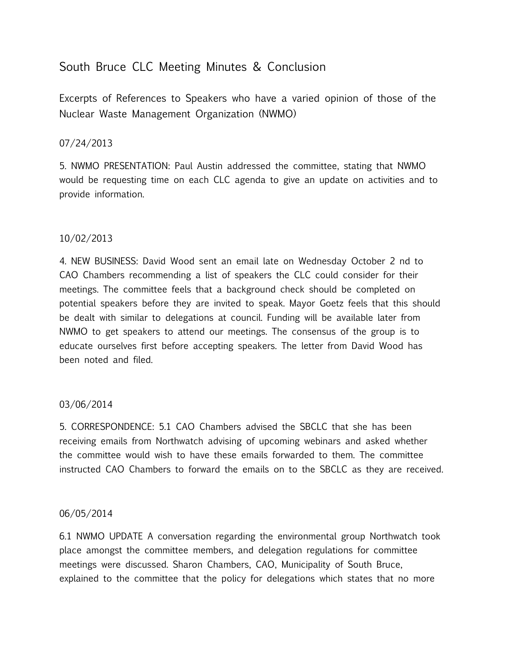# South Bruce CLC Meeting Minutes & Conclusion

Excerpts of References to Speakers who have a varied opinion of those of the Nuclear Waste Management Organization (NWMO)

### 07/24/2013

5. NWMO PRESENTATION: Paul Austin addressed the committee, stating that NWMO would be requesting time on each CLC agenda to give an update on activities and to provide information.

# 10/02/2013

4. NEW BUSINESS: David Wood sent an email late on Wednesday October 2 nd to CAO Chambers recommending a list of speakers the CLC could consider for their meetings. The committee feels that a background check should be completed on potential speakers before they are invited to speak. Mayor Goetz feels that this should be dealt with similar to delegations at council. Funding will be available later from NWMO to get speakers to attend our meetings. The consensus of the group is to educate ourselves first before accepting speakers. The letter from David Wood has been noted and filed.

#### 03/06/2014

5. CORRESPONDENCE: 5.1 CAO Chambers advised the SBCLC that she has been receiving emails from Northwatch advising of upcoming webinars and asked whether the committee would wish to have these emails forwarded to them. The committee instructed CAO Chambers to forward the emails on to the SBCLC as they are received.

#### 06/05/2014

6.1 NWMO UPDATE A conversation regarding the environmental group Northwatch took place amongst the committee members, and delegation regulations for committee meetings were discussed. Sharon Chambers, CAO, Municipality of South Bruce, explained to the committee that the policy for delegations which states that no more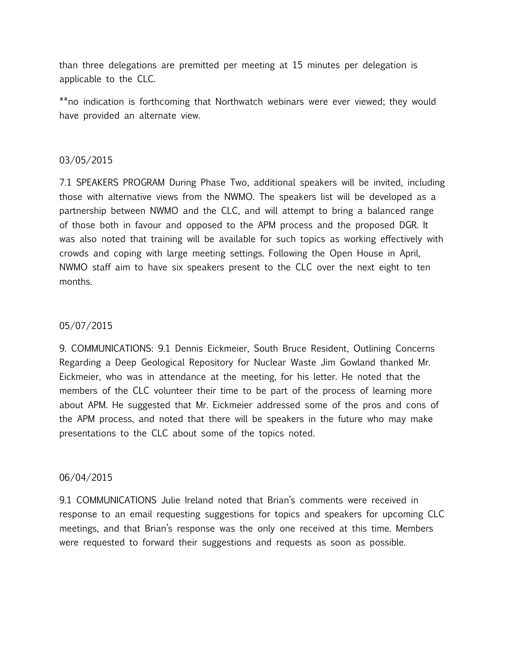than three delegations are premitted per meeting at 15 minutes per delegation is applicable to the CLC.

\*\*no indication is forthcoming that Northwatch webinars were ever viewed; they would have provided an alternate view.

#### 03/05/2015

7.1 SPEAKERS PROGRAM During Phase Two, additional speakers will be invited, including those with alternative views from the NWMO. The speakers list will be developed as a partnership between NWMO and the CLC, and will attempt to bring a balanced range of those both in favour and opposed to the APM process and the proposed DGR. It was also noted that training will be available for such topics as working effectively with crowds and coping with large meeting settings. Following the Open House in April, NWMO staff aim to have six speakers present to the CLC over the next eight to ten months.

#### 05/07/2015

9. COMMUNICATIONS: 9.1 Dennis Eickmeier, South Bruce Resident, Outlining Concerns Regarding a Deep Geological Repository for Nuclear Waste Jim Gowland thanked Mr. Eickmeier, who was in attendance at the meeting, for his letter. He noted that the members of the CLC volunteer their time to be part of the process of learning more about APM. He suggested that Mr. Eickmeier addressed some of the pros and cons of the APM process, and noted that there will be speakers in the future who may make presentations to the CLC about some of the topics noted.

#### 06/04/2015

9.1 COMMUNICATIONS Julie Ireland noted that Brian's comments were received in response to an email requesting suggestions for topics and speakers for upcoming CLC meetings, and that Brian's response was the only one received at this time. Members were requested to forward their suggestions and requests as soon as possible.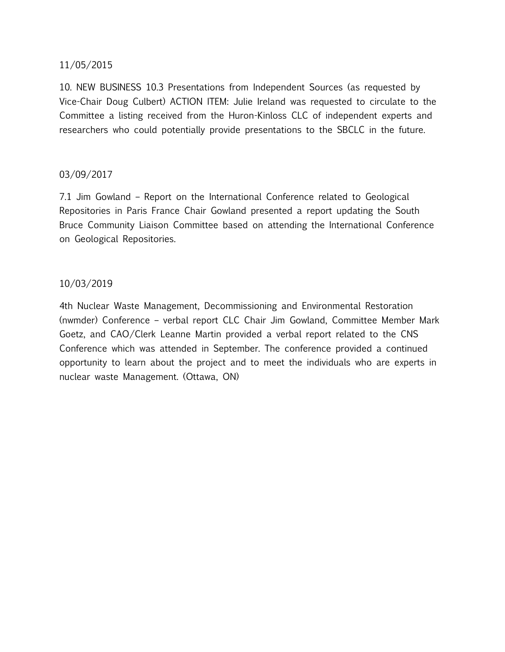### 11/05/2015

10. NEW BUSINESS 10.3 Presentations from Independent Sources (as requested by Vice-Chair Doug Culbert) ACTION ITEM: Julie Ireland was requested to circulate to the Committee a listing received from the Huron-Kinloss CLC of independent experts and researchers who could potentially provide presentations to the SBCLC in the future.

#### 03/09/2017

7.1 Jim Gowland – Report on the International Conference related to Geological Repositories in Paris France Chair Gowland presented a report updating the South Bruce Community Liaison Committee based on attending the International Conference on Geological Repositories.

#### 10/03/2019

4th Nuclear Waste Management, Decommissioning and Environmental Restoration (nwmder) Conference – verbal report CLC Chair Jim Gowland, Committee Member Mark Goetz, and CAO/Clerk Leanne Martin provided a verbal report related to the CNS Conference which was attended in September. The conference provided a continued opportunity to learn about the project and to meet the individuals who are experts in nuclear waste Management. (Ottawa, ON)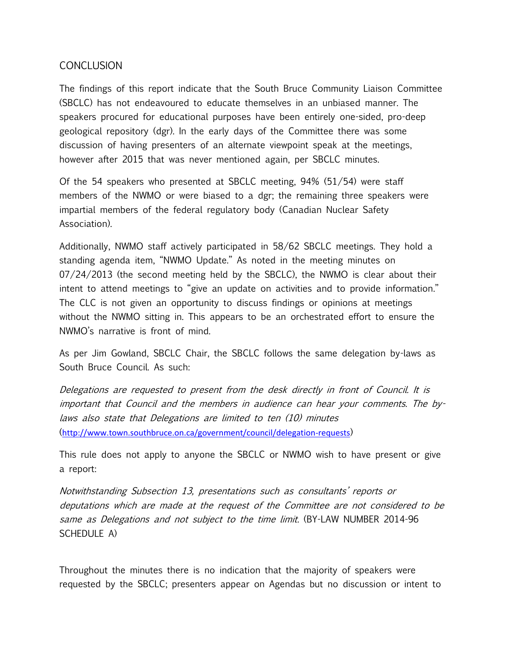# **CONCLUSION**

The findings of this report indicate that the South Bruce Community Liaison Committee (SBCLC) has not endeavoured to educate themselves in an unbiased manner. The speakers procured for educational purposes have been entirely one-sided, pro-deep geological repository (dgr). In the early days of the Committee there was some discussion of having presenters of an alternate viewpoint speak at the meetings, however after 2015 that was never mentioned again, per SBCLC minutes.

Of the 54 speakers who presented at SBCLC meeting, 94% (51/54) were staff members of the NWMO or were biased to a dgr; the remaining three speakers were impartial members of the federal regulatory body (Canadian Nuclear Safety Association).

Additionally, NWMO staff actively participated in 58/62 SBCLC meetings. They hold a standing agenda item, "NWMO Update." As noted in the meeting minutes on 07/24/2013 (the second meeting held by the SBCLC), the NWMO is clear about their intent to attend meetings to "give an update on activities and to provide information." The CLC is not given an opportunity to discuss findings or opinions at meetings without the NWMO sitting in. This appears to be an orchestrated effort to ensure the NWMO's narrative is front of mind.

As per Jim Gowland, SBCLC Chair, the SBCLC follows the same delegation by-laws as South Bruce Council. As such:

Delegations are requested to present from the desk directly in front of Council. It is important that Council and the members in audience can hear your comments. The bylaws also state that Delegations are limited to ten (10) minutes (<http://www.town.southbruce.on.ca/government/council/delegation-requests>)

This rule does not apply to anyone the SBCLC or NWMO wish to have present or give a report:

Notwithstanding Subsection 13, presentations such as consultants' reports or deputations which are made at the request of the Committee are not considered to be same as Delegations and not subject to the time limit. (BY-LAW NUMBER 2014-96 SCHEDULE A)

Throughout the minutes there is no indication that the majority of speakers were requested by the SBCLC; presenters appear on Agendas but no discussion or intent to